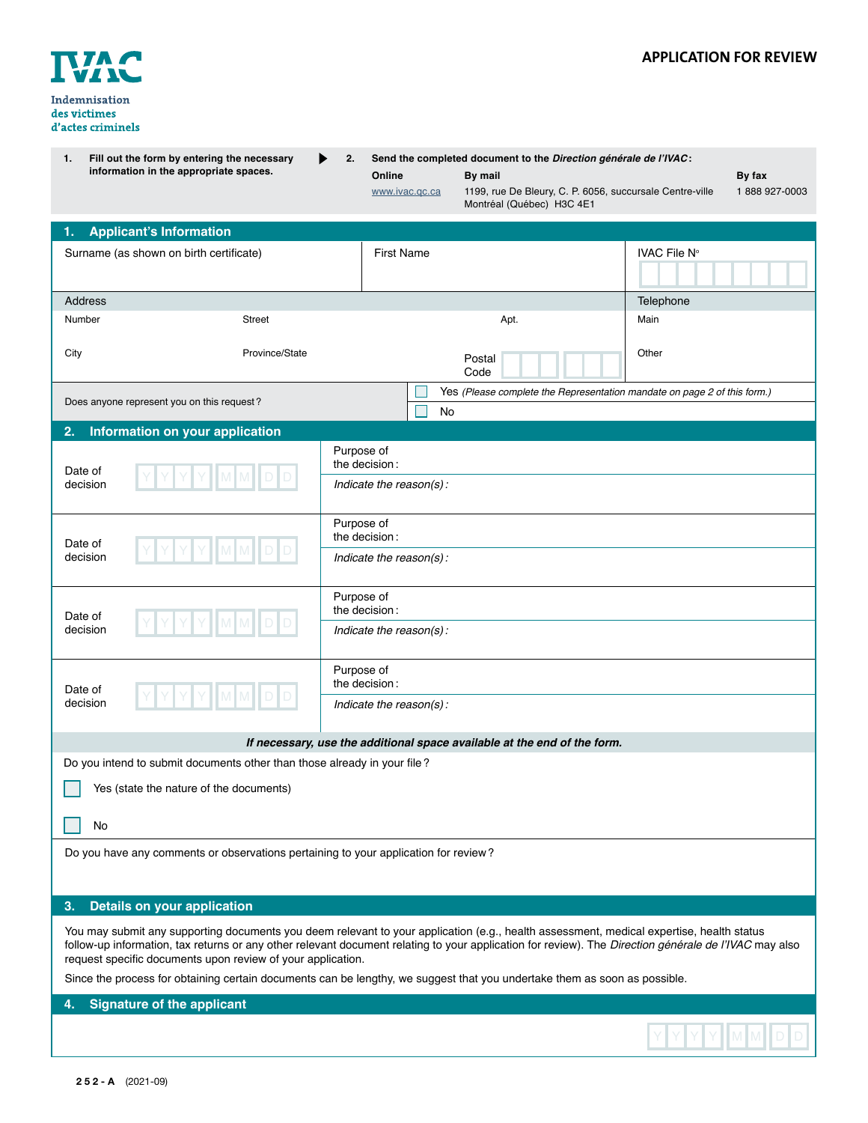

Y Y Y M M

| Fill out the form by entering the necessary<br>1.<br>information in the appropriate spaces.                                                                                                                                                                                                                                                                      | 2.                                                     | Online<br>www.ivac.gc.ca    | Send the completed document to the Direction générale de l'IVAC:<br>By mail<br>1199, rue De Bleury, C. P. 6056, succursale Centre-ville<br>Montréal (Québec) H3C 4E1 | By fax<br>1888 927-0003 |  |  |
|------------------------------------------------------------------------------------------------------------------------------------------------------------------------------------------------------------------------------------------------------------------------------------------------------------------------------------------------------------------|--------------------------------------------------------|-----------------------------|----------------------------------------------------------------------------------------------------------------------------------------------------------------------|-------------------------|--|--|
| <b>Applicant's Information</b><br>1.                                                                                                                                                                                                                                                                                                                             |                                                        |                             |                                                                                                                                                                      |                         |  |  |
| Surname (as shown on birth certificate)                                                                                                                                                                                                                                                                                                                          |                                                        | <b>First Name</b>           |                                                                                                                                                                      | IVAC File N°            |  |  |
| Address                                                                                                                                                                                                                                                                                                                                                          |                                                        |                             |                                                                                                                                                                      | Telephone               |  |  |
| Number<br><b>Street</b>                                                                                                                                                                                                                                                                                                                                          |                                                        |                             | Apt.                                                                                                                                                                 | Main                    |  |  |
| Province/State<br>City                                                                                                                                                                                                                                                                                                                                           |                                                        |                             | Postal<br>Code                                                                                                                                                       | Other                   |  |  |
| Does anyone represent you on this request?                                                                                                                                                                                                                                                                                                                       |                                                        |                             | Yes (Please complete the Representation mandate on page 2 of this form.)                                                                                             |                         |  |  |
|                                                                                                                                                                                                                                                                                                                                                                  |                                                        | No                          |                                                                                                                                                                      |                         |  |  |
| 2.<br>Information on your application                                                                                                                                                                                                                                                                                                                            |                                                        |                             |                                                                                                                                                                      |                         |  |  |
| Date of<br>decision                                                                                                                                                                                                                                                                                                                                              | Purpose of<br>the decision:<br>Indicate the reason(s): |                             |                                                                                                                                                                      |                         |  |  |
| Date of<br>decision                                                                                                                                                                                                                                                                                                                                              | Purpose of<br>the decision:<br>Indicate the reason(s): |                             |                                                                                                                                                                      |                         |  |  |
|                                                                                                                                                                                                                                                                                                                                                                  |                                                        |                             |                                                                                                                                                                      |                         |  |  |
| Date of<br>decision                                                                                                                                                                                                                                                                                                                                              | Purpose of<br>the decision:                            |                             |                                                                                                                                                                      |                         |  |  |
|                                                                                                                                                                                                                                                                                                                                                                  |                                                        | Indicate the reason(s):     |                                                                                                                                                                      |                         |  |  |
| Date of<br>decision                                                                                                                                                                                                                                                                                                                                              |                                                        | Purpose of<br>the decision: |                                                                                                                                                                      |                         |  |  |
|                                                                                                                                                                                                                                                                                                                                                                  |                                                        | Indicate the reason(s):     |                                                                                                                                                                      |                         |  |  |
|                                                                                                                                                                                                                                                                                                                                                                  |                                                        |                             | If necessary, use the additional space available at the end of the form.                                                                                             |                         |  |  |
| Do you intend to submit documents other than those already in your file?                                                                                                                                                                                                                                                                                         |                                                        |                             |                                                                                                                                                                      |                         |  |  |
| Yes (state the nature of the documents)                                                                                                                                                                                                                                                                                                                          |                                                        |                             |                                                                                                                                                                      |                         |  |  |
| No                                                                                                                                                                                                                                                                                                                                                               |                                                        |                             |                                                                                                                                                                      |                         |  |  |
| Do you have any comments or observations pertaining to your application for review?                                                                                                                                                                                                                                                                              |                                                        |                             |                                                                                                                                                                      |                         |  |  |
| 3.<br><b>Details on your application</b>                                                                                                                                                                                                                                                                                                                         |                                                        |                             |                                                                                                                                                                      |                         |  |  |
| You may submit any supporting documents you deem relevant to your application (e.g., health assessment, medical expertise, health status<br>follow-up information, tax returns or any other relevant document relating to your application for review). The Direction générale de l'IVAC may also<br>request specific documents upon review of your application. |                                                        |                             |                                                                                                                                                                      |                         |  |  |
| Since the process for obtaining certain documents can be lengthy, we suggest that you undertake them as soon as possible.                                                                                                                                                                                                                                        |                                                        |                             |                                                                                                                                                                      |                         |  |  |
| <b>Signature of the applicant</b><br>4.                                                                                                                                                                                                                                                                                                                          |                                                        |                             |                                                                                                                                                                      |                         |  |  |